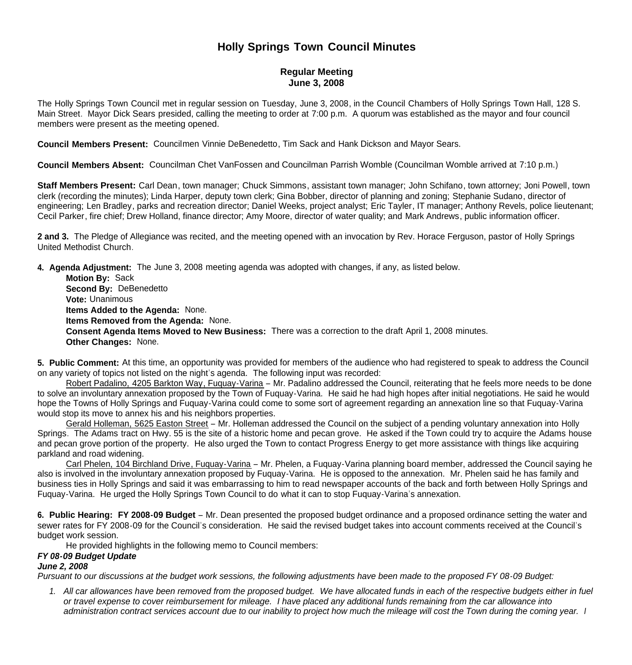# **Holly Springs Town Council Minutes**

## **Regular Meeting June 3, 2008**

The Holly Springs Town Council met in regular session on Tuesday, June 3, 2008, in the Council Chambers of Holly Springs Town Hall, 128 S. Main Street. Mayor Dick Sears presided, calling the meeting to order at 7:00 p.m. A quorum was established as the mayor and four council members were present as the meeting opened.

**Council Members Present:** Councilmen Vinnie DeBenedetto, Tim Sack and Hank Dickson and Mayor Sears.

**Council Members Absent:** Councilman Chet VanFossen and Councilman Parrish Womble (Councilman Womble arrived at 7:10 p.m.)

**Staff Members Present:** Carl Dean, town manager; Chuck Simmons, assistant town manager; John Schifano, town attorney; Joni Powell, town clerk (recording the minutes); Linda Harper, deputy town clerk; Gina Bobber, director of planning and zoning; Stephanie Sudano, director of engineering; Len Bradley, parks and recreation director; Daniel Weeks, project analyst; Eric Tayler, IT manager; Anthony Revels, police lieutenant; Cecil Parker, fire chief; Drew Holland, finance director; Amy Moore, director of water quality; and Mark Andrews, public information officer.

**2 and 3.** The Pledge of Allegiance was recited, and the meeting opened with an invocation by Rev. Horace Ferguson, pastor of Holly Springs United Methodist Church.

**4. Agenda Adjustment:** The June 3, 2008 meeting agenda was adopted with changes, if any, as listed below.

 **Motion By:** Sack **Second By:** DeBenedetto **Vote:** Unanimous  **Items Added to the Agenda:** None. **Items Removed from the Agenda:** None. **Consent Agenda Items Moved to New Business:** There was a correction to the draft April 1, 2008 minutes. **Other Changes:** None.

**5. Public Comment:** At this time, an opportunity was provided for members of the audience who had registered to speak to address the Council on any variety of topics not listed on the night's agenda. The following input was recorded:

 Robert Padalino, 4205 Barkton Way, Fuquay-Varina – Mr. Padalino addressed the Council, reiterating that he feels more needs to be done to solve an involuntary annexation proposed by the Town of Fuquay-Varina. He said he had high hopes after initial negotiations. He said he would hope the Towns of Holly Springs and Fuquay-Varina could come to some sort of agreement regarding an annexation line so that Fuquay-Varina would stop its move to annex his and his neighbors properties.

 Gerald Holleman, 5625 Easton Street – Mr. Holleman addressed the Council on the subject of a pending voluntary annexation into Holly Springs. The Adams tract on Hwy. 55 is the site of a historic home and pecan grove. He asked if the Town could try to acquire the Adams house and pecan grove portion of the property. He also urged the Town to contact Progress Energy to get more assistance with things like acquiring parkland and road widening.

 Carl Phelen, 104 Birchland Drive, Fuquay-Varina – Mr. Phelen, a Fuquay-Varina planning board member, addressed the Council saying he also is involved in the involuntary annexation proposed by Fuquay-Varina. He is opposed to the annexation. Mr. Phelen said he has family and business ties in Holly Springs and said it was embarrassing to him to read newspaper accounts of the back and forth between Holly Springs and Fuquay-Varina. He urged the Holly Springs Town Council to do what it can to stop Fuquay-Varina's annexation.

**6. Public Hearing: FY 2008-09 Budget** – Mr. Dean presented the proposed budget ordinance and a proposed ordinance setting the water and sewer rates for FY 2008-09 for the Council's consideration. He said the revised budget takes into account comments received at the Council's budget work session.

He provided highlights in the following memo to Council members:

#### *FY 08-09 Budget Update*

#### *June 2, 2008*

*Pursuant to our discussions at the budget work sessions, the following adjustments have been made to the proposed FY 08-09 Budget:*

*1. All car allowances have been removed from the proposed budget. We have allocated funds in each of the respective budgets either in fuel or travel expense to cover reimbursement for mileage. I have placed any additional funds remaining from the car allowance into administration contract services account due to our inability to project how much the mileage will cost the Town during the coming year. I*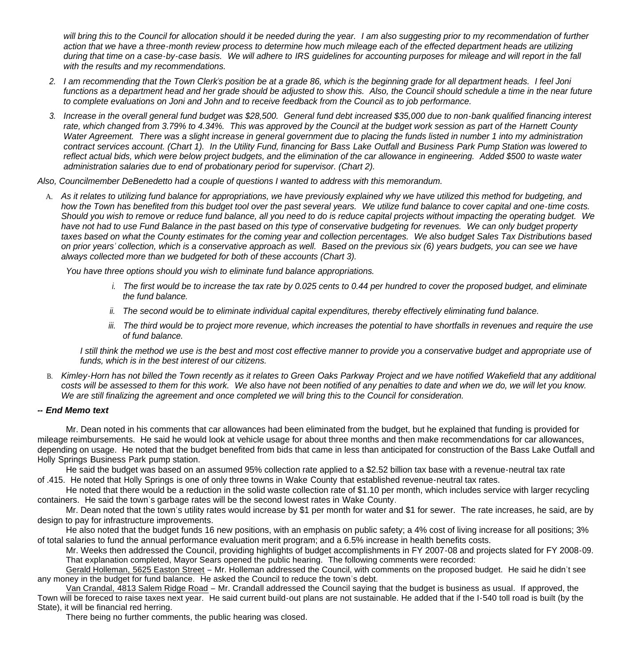will bring this to the Council for allocation should it be needed during the year. I am also suggesting prior to my recommendation of further *action that we have a three-month review process to determine how much mileage each of the effected department heads are utilizing during that time on a case-by-case basis. We will adhere to IRS guidelines for accounting purposes for mileage and will report in the fall with the results and my recommendations.*

- *2. I am recommending that the Town Clerk's position be at a grade 86, which is the beginning grade for all department heads. I feel Joni functions as a department head and her grade should be adjusted to show this. Also, the Council should schedule a time in the near future to complete evaluations on Joni and John and to receive feedback from the Council as to job performance.*
- *3. Increase in the overall general fund budget was \$28,500. General fund debt increased \$35,000 due to non-bank qualified financing interest rate, which changed from 3.79% to 4.34%. This was approved by the Council at the budget work session as part of the Harnett County Water Agreement. There was a slight increase in general government due to placing the funds listed in number 1 into my administration contract services account. (Chart 1). In the Utility Fund, financing for Bass Lake Outfall and Business Park Pump Station was lowered to reflect actual bids, which were below project budgets, and the elimination of the car allowance in engineering. Added \$500 to waste water administration salaries due to end of probationary period for supervisor. (Chart 2).*

*Also, Councilmember DeBenedetto had a couple of questions I wanted to address with this memorandum.*

A. *As it relates to utilizing fund balance for appropriations, we have previously explained why we have utilized this method for budgeting, and how the Town has benefited from this budget tool over the past several years. We utilize fund balance to cover capital and one-time costs. Should you wish to remove or reduce fund balance, all you need to do is reduce capital projects without impacting the operating budget. We have not had to use Fund Balance in the past based on this type of conservative budgeting for revenues. We can only budget property taxes based on what the County estimates for the coming year and collection percentages. We also budget Sales Tax Distributions based on prior years' collection, which is a conservative approach as well. Based on the previous six (6) years budgets, you can see we have always collected more than we budgeted for both of these accounts (Chart 3).*

*You have three options should you wish to eliminate fund balance appropriations.*

- *i. The first would be to increase the tax rate by 0.025 cents to 0.44 per hundred to cover the proposed budget, and eliminate the fund balance.*
- *ii. The second would be to eliminate individual capital expenditures, thereby effectively eliminating fund balance.*
- *iii. The third would be to project more revenue, which increases the potential to have shortfalls in revenues and require the use of fund balance.*

I still think the method we use is the best and most cost effective manner to provide you a conservative budget and appropriate use of *funds, which is in the best interest of our citizens.*

B. *Kimley-Horn has not billed the Town recently as it relates to Green Oaks Parkway Project and we have notified Wakefield that any additional costs will be assessed to them for this work. We also have not been notified of any penalties to date and when we do, we will let you know. We are still finalizing the agreement and once completed we will bring this to the Council for consideration.*

#### *-- End Memo text*

 Mr. Dean noted in his comments that car allowances had been eliminated from the budget, but he explained that funding is provided for mileage reimbursements. He said he would look at vehicle usage for about three months and then make recommendations for car allowances, depending on usage. He noted that the budget benefited from bids that came in less than anticipated for construction of the Bass Lake Outfall and Holly Springs Business Park pump station.

 He said the budget was based on an assumed 95% collection rate applied to a \$2.52 billion tax base with a revenue-neutral tax rate of .415. He noted that Holly Springs is one of only three towns in Wake County that established revenue-neutral tax rates.

 He noted that there would be a reduction in the solid waste collection rate of \$1.10 per month, which includes service with larger recycling containers. He said the town's garbage rates will be the second lowest rates in Wake County.

 Mr. Dean noted that the town's utility rates would increase by \$1 per month for water and \$1 for sewer. The rate increases, he said, are by design to pay for infrastructure improvements.

 He also noted that the budget funds 16 new positions, with an emphasis on public safety; a 4% cost of living increase for all positions; 3% of total salaries to fund the annual performance evaluation merit program; and a 6.5% increase in health benefits costs.

 Mr. Weeks then addressed the Council, providing highlights of budget accomplishments in FY 2007-08 and projects slated for FY 2008-09. That explanation completed, Mayor Sears opened the public hearing. The following comments were recorded:

Gerald Holleman, 5625 Easton Street – Mr. Holleman addressed the Council, with comments on the proposed budget. He said he didn't see any money in the budget for fund balance. He asked the Council to reduce the town's debt.

Van Crandal, 4813 Salem Ridge Road – Mr. Crandall addressed the Council saying that the budget is business as usual. If approved, the Town will be foreced to raise taxes next year. He said current build-out plans are not sustainable. He added that if the I-540 toll road is built (by the State), it will be financial red herring.

There being no further comments, the public hearing was closed.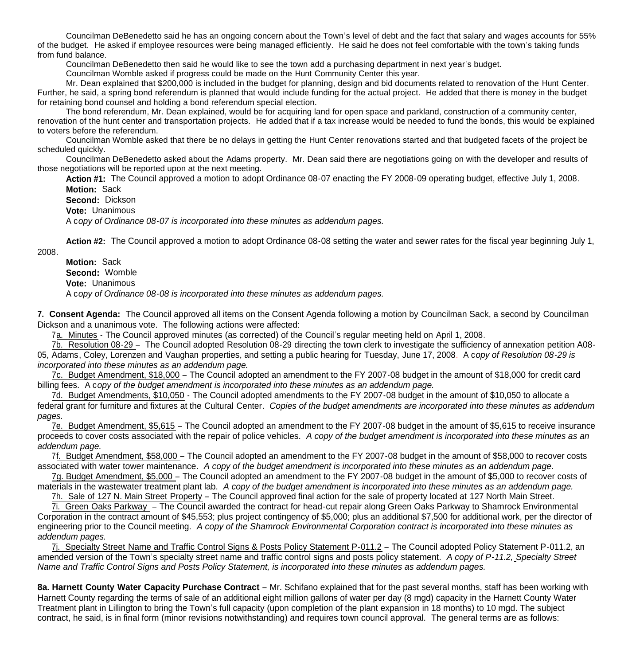Councilman DeBenedetto said he has an ongoing concern about the Town's level of debt and the fact that salary and wages accounts for 55% of the budget. He asked if employee resources were being managed efficiently. He said he does not feel comfortable with the town's taking funds from fund balance.

Councilman DeBenedetto then said he would like to see the town add a purchasing department in next year's budget.

Councilman Womble asked if progress could be made on the Hunt Community Center this year.

Mr. Dean explained that \$200,000 is included in the budget for planning, design and bid documents related to renovation of the Hunt Center. Further, he said, a spring bond referendum is planned that would include funding for the actual project. He added that there is money in the budget for retaining bond counsel and holding a bond referendum special election.

The bond referendum, Mr. Dean explained, would be for acquiring land for open space and parkland, construction of a community center, renovation of the hunt center and transportation projects. He added that if a tax increase would be needed to fund the bonds, this would be explained to voters before the referendum.

Councilman Womble asked that there be no delays in getting the Hunt Center renovations started and that budgeted facets of the project be scheduled quickly.

Councilman DeBenedetto asked about the Adams property. Mr. Dean said there are negotiations going on with the developer and results of those negotiations will be reported upon at the next meeting.

**Action #1:** The Council approved a motion to adopt Ordinance 08-07 enacting the FY 2008-09 operating budget, effective July 1, 2008. **Motion:** Sack

**Second:** Dickson

**Vote:** Unanimous

A c*opy of Ordinance 08-07 is incorporated into these minutes as addendum pages.*

**Action #2:** The Council approved a motion to adopt Ordinance 08-08 setting the water and sewer rates for the fiscal year beginning July 1,

2008.

**Motion:** Sack **Second:** Womble **Vote:** Unanimous A c*opy of Ordinance 08-08 is incorporated into these minutes as addendum pages.*

**7. Consent Agenda:** The Council approved all items on the Consent Agenda following a motion by Councilman Sack, a second by Councilman Dickson and a unanimous vote. The following actions were affected:

7a. Minutes - The Council approved minutes (as corrected) of the Council's regular meeting held on April 1, 2008.

7b. Resolution 08-29 – The Council adopted Resolution 08-29 directing the town clerk to investigate the sufficiency of annexation petition A08- 05, Adams, Coley, Lorenzen and Vaughan properties, and setting a public hearing for Tuesday, June 17, 2008. A c*opy of Resolution 08-29 is incorporated into these minutes as an addendum page.*

 7c. Budget Amendment, \$18,000 – The Council adopted an amendment to the FY 2007-08 budget in the amount of \$18,000 for credit card billing fees. A c*opy of the budget amendment is incorporated into these minutes as an addendum page.*

7d. Budget Amendments, \$10,050 - The Council adopted amendments to the FY 2007-08 budget in the amount of \$10,050 to allocate a federal grant for furniture and fixtures at the Cultural Center. *Copies of the budget amendments are incorporated into these minutes as addendum pages.*

 7e. Budget Amendment, \$5,615 – The Council adopted an amendment to the FY 2007-08 budget in the amount of \$5,615 to receive insurance proceeds to cover costs associated with the repair of police vehicles. *A copy of the budget amendment is incorporated into these minutes as an addendum page.*

 7f. Budget Amendment, \$58,000 – The Council adopted an amendment to the FY 2007-08 budget in the amount of \$58,000 to recover costs associated with water tower maintenance. *A copy of the budget amendment is incorporated into these minutes as an addendum page.*

 7g. Budget Amendment, \$5,000 – The Council adopted an amendment to the FY 2007-08 budget in the amount of \$5,000 to recover costs of materials in the wastewater treatment plant lab. *A copy of the budget amendment is incorporated into these minutes as an addendum page.*

7h. Sale of 127 N. Main Street Property – The Council approved final action for the sale of property located at 127 North Main Street.

 7i. Green Oaks Parkway – The Council awarded the contract for head-cut repair along Green Oaks Parkway to Shamrock Environmental Corporation in the contract amount of \$45,553; plus project contingency of \$5,000; plus an additional \$7,500 for additional work, per the director of engineering prior to the Council meeting. *A copy of the Shamrock Environmental Corporation contract is incorporated into these minutes as addendum pages.*

 7j. Specialty Street Name and Traffic Control Signs & Posts Policy Statement P-011.2 – The Council adopted Policy Statement P-011.2, an amended version of the Town's specialty street name and traffic control signs and posts policy statement. *A copy of P-11.2, Specialty Street Name and Traffic Control Signs and Posts Policy Statement, is incorporated into these minutes as addendum pages.*

**8a. Harnett County Water Capacity Purchase Contract** – Mr. Schifano explained that for the past several months, staff has been working with Harnett County regarding the terms of sale of an additional eight million gallons of water per day (8 mgd) capacity in the Harnett County Water Treatment plant in Lillington to bring the Town's full capacity (upon completion of the plant expansion in 18 months) to 10 mgd. The subject contract, he said, is in final form (minor revisions notwithstanding) and requires town council approval. The general terms are as follows: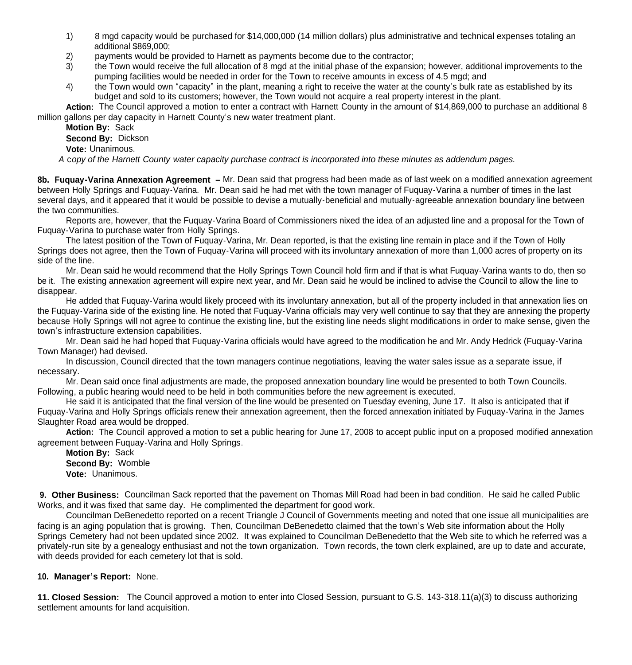- 1) 8 mgd capacity would be purchased for \$14,000,000 (14 million dollars) plus administrative and technical expenses totaling an additional \$869,000;
- 2) payments would be provided to Harnett as payments become due to the contractor;
- 3) the Town would receive the full allocation of 8 mgd at the initial phase of the expansion; however, additional improvements to the pumping facilities would be needed in order for the Town to receive amounts in excess of 4.5 mgd; and
- 4) the Town would own "capacity" in the plant, meaning a right to receive the water at the county's bulk rate as established by its budget and sold to its customers; however, the Town would not acquire a real property interest in the plant.

 **Action:** The Council approved a motion to enter a contract with Harnett County in the amount of \$14,869,000 to purchase an additional 8 million gallons per day capacity in Harnett County's new water treatment plant.

 **Motion By:** Sack **Second By:** Dickson **Vote:** Unanimous.

 *A* c*opy of the Harnett County water capacity purchase contract is incorporated into these minutes as addendum pages.*

**8b. Fuquay-Varina Annexation Agreement –** Mr. Dean said that progress had been made as of last week on a modified annexation agreement between Holly Springs and Fuquay-Varina. Mr. Dean said he had met with the town manager of Fuquay-Varina a number of times in the last several days, and it appeared that it would be possible to devise a mutually-beneficial and mutually-agreeable annexation boundary line between the two communities.

 Reports are, however, that the Fuquay-Varina Board of Commissioners nixed the idea of an adjusted line and a proposal for the Town of Fuquay-Varina to purchase water from Holly Springs.

 The latest position of the Town of Fuquay-Varina, Mr. Dean reported, is that the existing line remain in place and if the Town of Holly Springs does not agree, then the Town of Fuquay-Varina will proceed with its involuntary annexation of more than 1,000 acres of property on its side of the line.

 Mr. Dean said he would recommend that the Holly Springs Town Council hold firm and if that is what Fuquay-Varina wants to do, then so be it. The existing annexation agreement will expire next year, and Mr. Dean said he would be inclined to advise the Council to allow the line to disappear.

 He added that Fuquay-Varina would likely proceed with its involuntary annexation, but all of the property included in that annexation lies on the Fuquay-Varina side of the existing line. He noted that Fuquay-Varina officials may very well continue to say that they are annexing the property because Holly Springs will not agree to continue the existing line, but the existing line needs slight modifications in order to make sense, given the town's infrastructure extension capabilities.

 Mr. Dean said he had hoped that Fuquay-Varina officials would have agreed to the modification he and Mr. Andy Hedrick (Fuquay-Varina Town Manager) had devised.

 In discussion, Council directed that the town managers continue negotiations, leaving the water sales issue as a separate issue, if necessary.

 Mr. Dean said once final adjustments are made, the proposed annexation boundary line would be presented to both Town Councils. Following, a public hearing would need to be held in both communities before the new agreement is executed.

 He said it is anticipated that the final version of the line would be presented on Tuesday evening, June 17. It also is anticipated that if Fuquay-Varina and Holly Springs officials renew their annexation agreement, then the forced annexation initiated by Fuquay-Varina in the James Slaughter Road area would be dropped.

**Action:** The Council approved a motion to set a public hearing for June 17, 2008 to accept public input on a proposed modified annexation agreement between Fuquay-Varina and Holly Springs.

**Motion By:** Sack **Second By:** Womble **Vote:** Unanimous.

**9. Other Business:** Councilman Sack reported that the pavement on Thomas Mill Road had been in bad condition. He said he called Public Works, and it was fixed that same day. He complimented the department for good work.

Councilman DeBenedetto reported on a recent Triangle J Council of Governments meeting and noted that one issue all municipalities are facing is an aging population that is growing. Then, Councilman DeBenedetto claimed that the town's Web site information about the Holly Springs Cemetery had not been updated since 2002. It was explained to Councilman DeBenedetto that the Web site to which he referred was a privately-run site by a genealogy enthusiast and not the town organization. Town records, the town clerk explained, are up to date and accurate, with deeds provided for each cemetery lot that is sold.

### **10. Manager's Report:** None.

**11. Closed Session:** The Council approved a motion to enter into Closed Session, pursuant to G.S. 143-318.11(a)(3) to discuss authorizing settlement amounts for land acquisition.